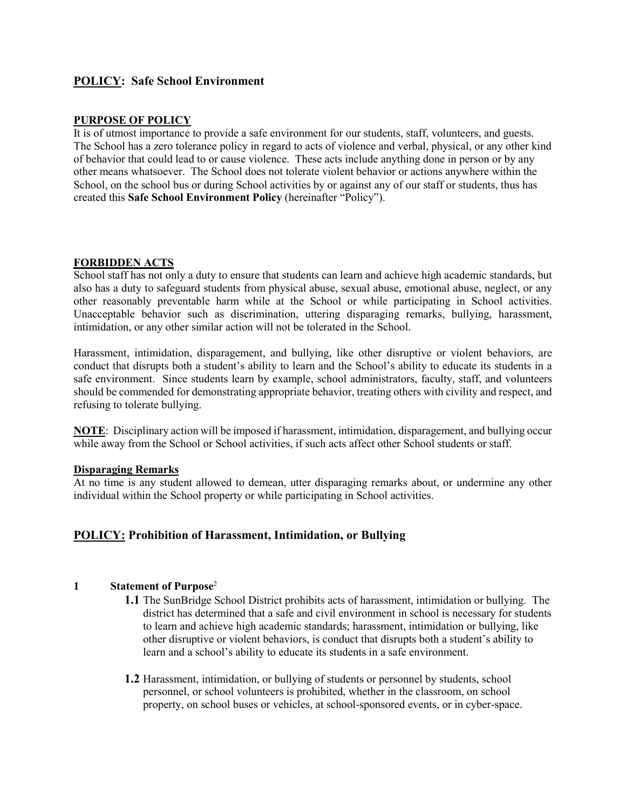# **POLICY: Safe School Environment**

#### **PURPOSE OF POLICY**

It is of utmost importance to provide a safe environment for our students, staff, volunteers, and guests. The School has a zero tolerance policy in regard to acts of violence and verbal, physical, or any other kind of behavior that could lead to or cause violence. These acts include anything done in person or by any other means whatsoever. The School does not tolerate violent behavior or actions anywhere within the School, on the school bus or during School activities by or against any of our staff or students, thus has created this **Safe School Environment Policy** (hereinafter "Policy").

#### **FORBIDDEN ACTS**

School staff has not only a duty to ensure that students can learn and achieve high academic standards, but also has a duty to safeguard students from physical abuse, sexual abuse, emotional abuse, neglect, or any other reasonably preventable harm while at the School or while participating in School activities. Unacceptable behavior such as discrimination, uttering disparaging remarks, bullying, harassment, intimidation, or any other similar action will not be tolerated in the School.

Harassment, intimidation, disparagement, and bullying, like other disruptive or violent behaviors, are conduct that disrupts both a student's ability to learn and the School's ability to educate its students in a safe environment. Since students learn by example, school administrators, faculty, staff, and volunteers should be commended for demonstrating appropriate behavior, treating others with civility and respect, and refusing to tolerate bullying.

**NOTE**: Disciplinary action will be imposed if harassment, intimidation, disparagement, and bullying occur while away from the School or School activities, if such acts affect other School students or staff.

#### **Disparaging Remarks**

At no time is any student allowed to demean, utter disparaging remarks about, or undermine any other individual within the School property or while participating in School activities.

# **POLICY: Prohibition of Harassment, Intimidation, or Bullying**

#### **1 Statement of Purpose**<sup>2</sup>

- **1.1** The SunBridge School District prohibits acts of harassment, intimidation or bullying. The district has determined that a safe and civil environment in school is necessary for students to learn and achieve high academic standards; harassment, intimidation or bullying, like other disruptive or violent behaviors, is conduct that disrupts both a student's ability to learn and a school's ability to educate its students in a safe environment.
- **1.2** Harassment, intimidation, or bullying of students or personnel by students, school personnel, or school volunteers is prohibited, whether in the classroom, on school property, on school buses or vehicles, at school-sponsored events, or in cyber-space.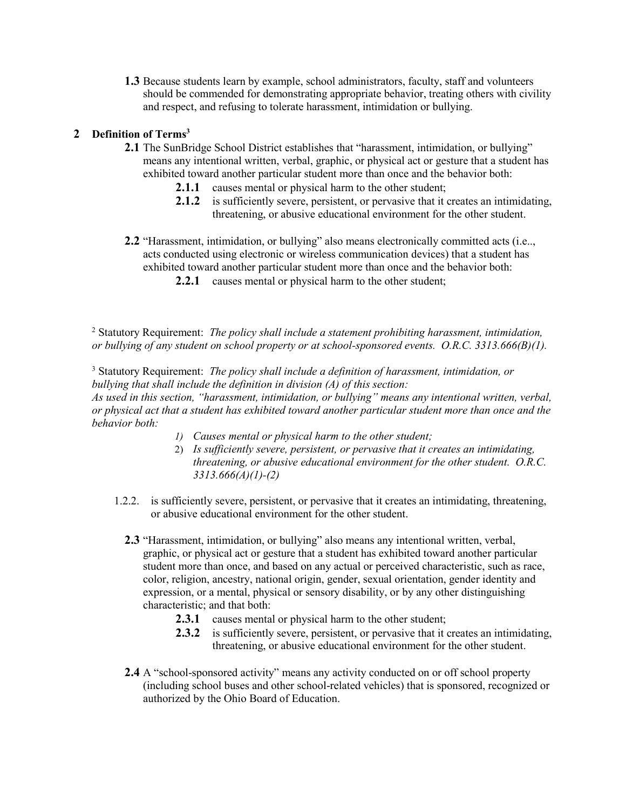**1.3** Because students learn by example, school administrators, faculty, staff and volunteers should be commended for demonstrating appropriate behavior, treating others with civility and respect, and refusing to tolerate harassment, intimidation or bullying.

# **2 Definition of Terms3**

- **2.1** The SunBridge School District establishes that "harassment, intimidation, or bullying" means any intentional written, verbal, graphic, or physical act or gesture that a student has exhibited toward another particular student more than once and the behavior both:
	- **2.1.1** causes mental or physical harm to the other student;
	- **2.1.2** is sufficiently severe, persistent, or pervasive that it creates an intimidating, threatening, or abusive educational environment for the other student.
- **2.2** "Harassment, intimidation, or bullying" also means electronically committed acts (i.e.., acts conducted using electronic or wireless communication devices) that a student has exhibited toward another particular student more than once and the behavior both:
	- **2.2.1** causes mental or physical harm to the other student;

<sup>2</sup> Statutory Requirement: *The policy shall include a statement prohibiting harassment, intimidation, or bullying of any student on school property or at school-sponsored events. O.R.C. 3313.666(B)(1).*

<sup>3</sup> Statutory Requirement: *The policy shall include a definition of harassment, intimidation, or bullying that shall include the definition in division (A) of this section: As used in this section, "harassment, intimidation, or bullying" means any intentional written, verbal, or physical act that a student has exhibited toward another particular student more than once and the behavior both:*

- *1) Causes mental or physical harm to the other student;*
- 2) *Is sufficiently severe, persistent, or pervasive that it creates an intimidating, threatening, or abusive educational environment for the other student. O.R.C. 3313.666(A)(1)-(2)*
- 1.2.2. is sufficiently severe, persistent, or pervasive that it creates an intimidating, threatening, or abusive educational environment for the other student.
	- **2.3** "Harassment, intimidation, or bullying" also means any intentional written, verbal, graphic, or physical act or gesture that a student has exhibited toward another particular student more than once, and based on any actual or perceived characteristic, such as race, color, religion, ancestry, national origin, gender, sexual orientation, gender identity and expression, or a mental, physical or sensory disability, or by any other distinguishing characteristic; and that both:
		- **2.3.1** causes mental or physical harm to the other student;
		- **2.3.2** is sufficiently severe, persistent, or pervasive that it creates an intimidating, threatening, or abusive educational environment for the other student.
	- **2.4** A "school-sponsored activity" means any activity conducted on or off school property (including school buses and other school-related vehicles) that is sponsored, recognized or authorized by the Ohio Board of Education.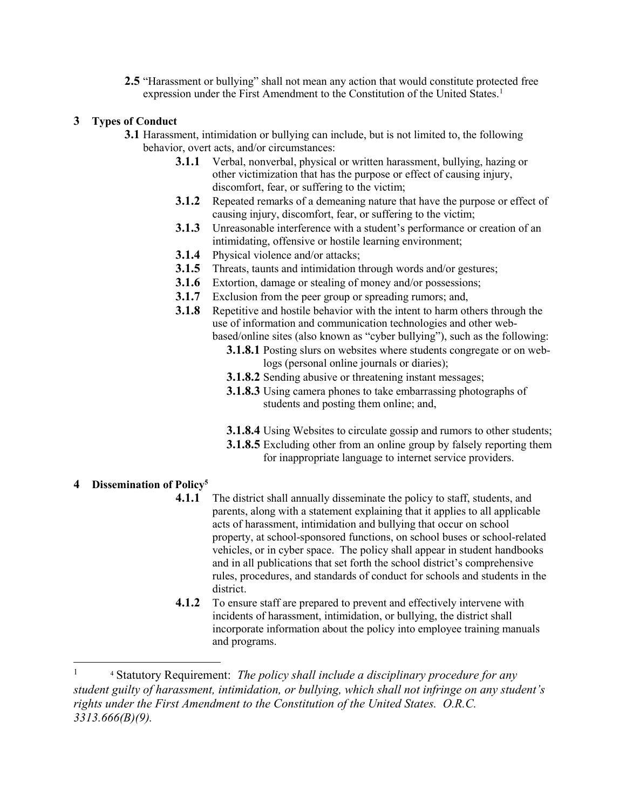**2.5** "Harassment or bullying" shall not mean any action that would constitute protected free expression under the First Amendment to the Constitution of the United States.<sup>[1](#page-2-0)</sup>

#### **3 Types of Conduct**

- **3.1** Harassment, intimidation or bullying can include, but is not limited to, the following behavior, overt acts, and/or circumstances:
	- **3.1.1** Verbal, nonverbal, physical or written harassment, bullying, hazing or other victimization that has the purpose or effect of causing injury, discomfort, fear, or suffering to the victim;
	- **3.1.2** Repeated remarks of a demeaning nature that have the purpose or effect of causing injury, discomfort, fear, or suffering to the victim;
	- **3.1.3** Unreasonable interference with a student's performance or creation of an intimidating, offensive or hostile learning environment;
	- **3.1.4** Physical violence and/or attacks;
	- **3.1.5** Threats, taunts and intimidation through words and/or gestures;
	- **3.1.6** Extortion, damage or stealing of money and/or possessions;
	- **3.1.7** Exclusion from the peer group or spreading rumors; and,
	- **3.1.8** Repetitive and hostile behavior with the intent to harm others through the use of information and communication technologies and other webbased/online sites (also known as "cyber bullying"), such as the following:
		- **3.1.8.1** Posting slurs on websites where students congregate or on weblogs (personal online journals or diaries);
		- **3.1.8.2** Sending abusive or threatening instant messages;
		- **3.1.8.3** Using camera phones to take embarrassing photographs of students and posting them online; and,
		- **3.1.8.4** Using Websites to circulate gossip and rumors to other students;
		- **3.1.8.5** Excluding other from an online group by falsely reporting them for inappropriate language to internet service providers.

# **4 Dissemination of Policy5**

- **4.1.1** The district shall annually disseminate the policy to staff, students, and parents, along with a statement explaining that it applies to all applicable acts of harassment, intimidation and bullying that occur on school property, at school-sponsored functions, on school buses or school-related vehicles, or in cyber space. The policy shall appear in student handbooks and in all publications that set forth the school district's comprehensive rules, procedures, and standards of conduct for schools and students in the district.
- **4.1.2** To ensure staff are prepared to prevent and effectively intervene with incidents of harassment, intimidation, or bullying, the district shall incorporate information about the policy into employee training manuals and programs.

<span id="page-2-0"></span><sup>&</sup>lt;sup>1</sup> 4 Statutory Requirement: *The policy shall include a disciplinary procedure for any student guilty of harassment, intimidation, or bullying, which shall not infringe on any student's rights under the First Amendment to the Constitution of the United States. O.R.C. 3313.666(B)(9).*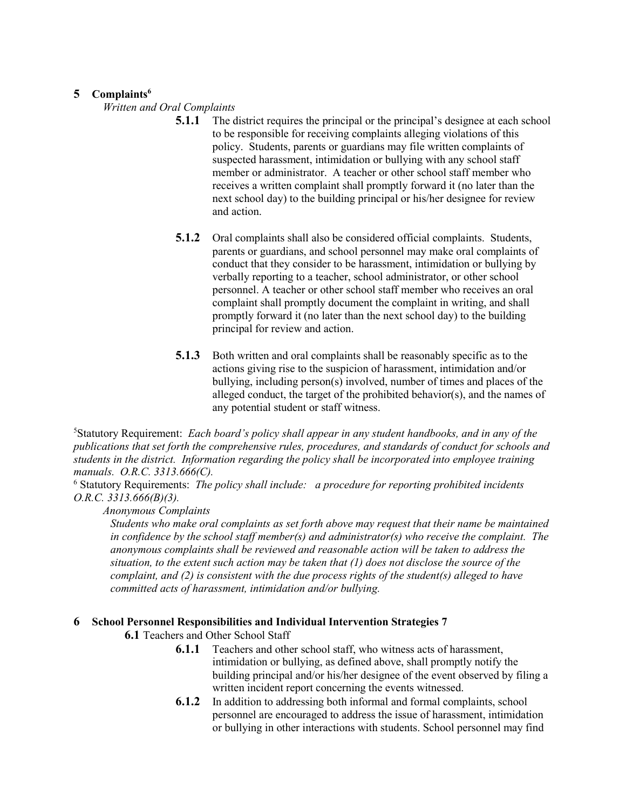## **5 Complaints6**

*Written and Oral Complaints* 

- **5.1.1** The district requires the principal or the principal's designee at each school to be responsible for receiving complaints alleging violations of this policy. Students, parents or guardians may file written complaints of suspected harassment, intimidation or bullying with any school staff member or administrator. A teacher or other school staff member who receives a written complaint shall promptly forward it (no later than the next school day) to the building principal or his/her designee for review and action.
- **5.1.2** Oral complaints shall also be considered official complaints. Students, parents or guardians, and school personnel may make oral complaints of conduct that they consider to be harassment, intimidation or bullying by verbally reporting to a teacher, school administrator, or other school personnel. A teacher or other school staff member who receives an oral complaint shall promptly document the complaint in writing, and shall promptly forward it (no later than the next school day) to the building principal for review and action.
- **5.1.3** Both written and oral complaints shall be reasonably specific as to the actions giving rise to the suspicion of harassment, intimidation and/or bullying, including person(s) involved, number of times and places of the alleged conduct, the target of the prohibited behavior(s), and the names of any potential student or staff witness.

5 Statutory Requirement: *Each board's policy shall appear in any student handbooks, and in any of the publications that set forth the comprehensive rules, procedures, and standards of conduct for schools and students in the district. Information regarding the policy shall be incorporated into employee training manuals. O.R.C. 3313.666(C).*

<sup>6</sup> Statutory Requirements: *The policy shall include: a procedure for reporting prohibited incidents O.R.C. 3313.666(B)(3).* 

#### *Anonymous Complaints*

*Students who make oral complaints as set forth above may request that their name be maintained in confidence by the school staff member(s) and administrator(s) who receive the complaint. The anonymous complaints shall be reviewed and reasonable action will be taken to address the situation, to the extent such action may be taken that (1) does not disclose the source of the complaint, and (2) is consistent with the due process rights of the student(s) alleged to have committed acts of harassment, intimidation and/or bullying.*

#### **6 School Personnel Responsibilities and Individual Intervention Strategies 7**

**6.1** Teachers and Other School Staff

- **6.1.1** Teachers and other school staff, who witness acts of harassment, intimidation or bullying, as defined above, shall promptly notify the building principal and/or his/her designee of the event observed by filing a written incident report concerning the events witnessed.
- **6.1.2** In addition to addressing both informal and formal complaints, school personnel are encouraged to address the issue of harassment, intimidation or bullying in other interactions with students. School personnel may find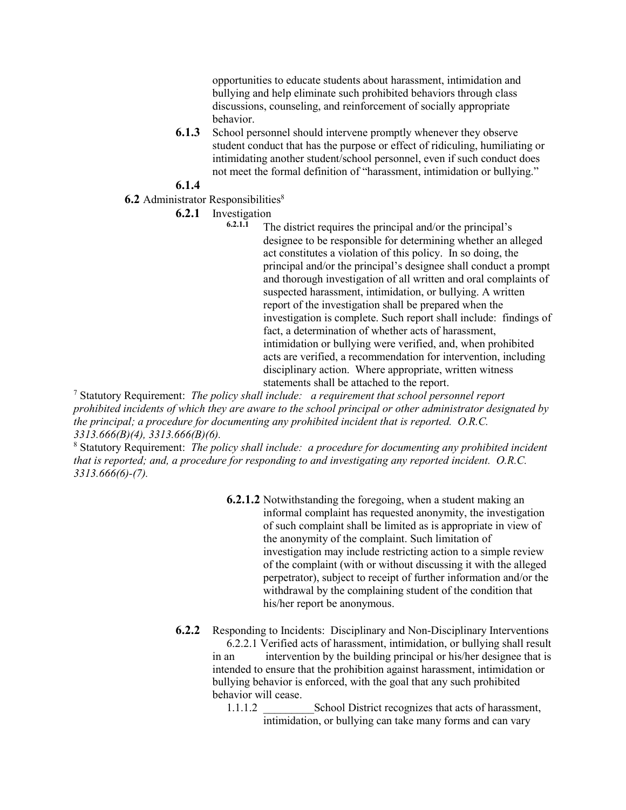opportunities to educate students about harassment, intimidation and bullying and help eliminate such prohibited behaviors through class discussions, counseling, and reinforcement of socially appropriate behavior.

**6.1.3** School personnel should intervene promptly whenever they observe student conduct that has the purpose or effect of ridiculing, humiliating or intimidating another student/school personnel, even if such conduct does not meet the formal definition of "harassment, intimidation or bullying."

**6.1.4**

- **6.2** Administrator Responsibilities<sup>8</sup>
	- **6.2.1** Investigation

The district requires the principal and/or the principal's designee to be responsible for determining whether an alleged act constitutes a violation of this policy. In so doing, the principal and/or the principal's designee shall conduct a prompt and thorough investigation of all written and oral complaints of suspected harassment, intimidation, or bullying. A written report of the investigation shall be prepared when the investigation is complete. Such report shall include: findings of fact, a determination of whether acts of harassment, intimidation or bullying were verified, and, when prohibited acts are verified, a recommendation for intervention, including disciplinary action. Where appropriate, written witness statements shall be attached to the report.

<sup>7</sup> Statutory Requirement: *The policy shall include: a requirement that school personnel report prohibited incidents of which they are aware to the school principal or other administrator designated by the principal; a procedure for documenting any prohibited incident that is reported. O.R.C. 3313.666(B)(4), 3313.666(B)(6).*

<sup>8</sup> Statutory Requirement: *The policy shall include: a procedure for documenting any prohibited incident that is reported; and, a procedure for responding to and investigating any reported incident. O.R.C. 3313.666(6)-(7).*

> **6.2.1.2** Notwithstanding the foregoing, when a student making an informal complaint has requested anonymity, the investigation of such complaint shall be limited as is appropriate in view of the anonymity of the complaint. Such limitation of investigation may include restricting action to a simple review of the complaint (with or without discussing it with the alleged perpetrator), subject to receipt of further information and/or the withdrawal by the complaining student of the condition that his/her report be anonymous.

**6.2.2** Responding to Incidents: Disciplinary and Non-Disciplinary Interventions 6.2.2.1 Verified acts of harassment, intimidation, or bullying shall result

in an intervention by the building principal or his/her designee that is intended to ensure that the prohibition against harassment, intimidation or bullying behavior is enforced, with the goal that any such prohibited behavior will cease.

1.1.1.2 School District recognizes that acts of harassment, intimidation, or bullying can take many forms and can vary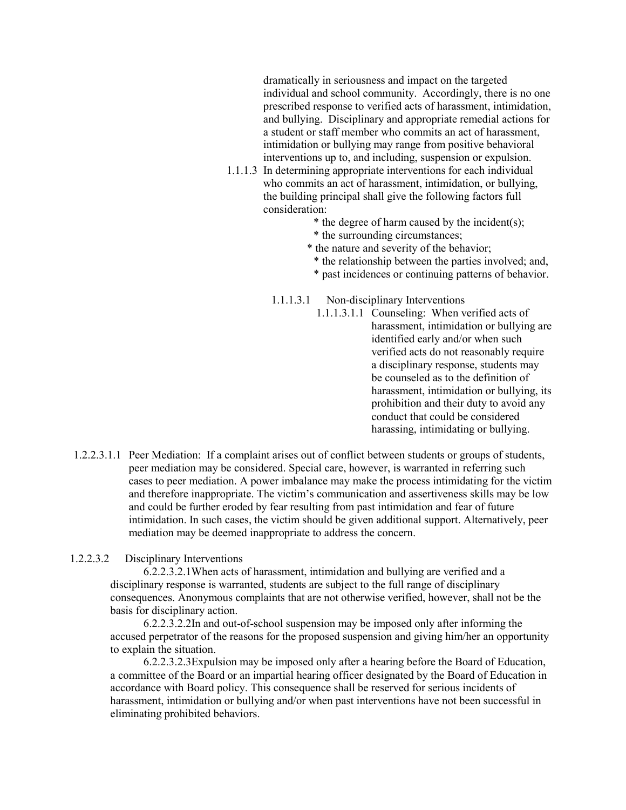dramatically in seriousness and impact on the targeted individual and school community. Accordingly, there is no one prescribed response to verified acts of harassment, intimidation, and bullying. Disciplinary and appropriate remedial actions for a student or staff member who commits an act of harassment, intimidation or bullying may range from positive behavioral interventions up to, and including, suspension or expulsion.

- 1.1.1.3 In determining appropriate interventions for each individual who commits an act of harassment, intimidation, or bullying, the building principal shall give the following factors full consideration:
	- \* the degree of harm caused by the incident(s);
	- \* the surrounding circumstances;
	- \* the nature and severity of the behavior;
		- \* the relationship between the parties involved; and,
		- \* past incidences or continuing patterns of behavior.
	- 1.1.1.3.1 Non-disciplinary Interventions
		- 1.1.1.3.1.1 Counseling: When verified acts of harassment, intimidation or bullying are identified early and/or when such verified acts do not reasonably require a disciplinary response, students may be counseled as to the definition of harassment, intimidation or bullying, its prohibition and their duty to avoid any conduct that could be considered harassing, intimidating or bullying.
- 1.2.2.3.1.1 Peer Mediation: If a complaint arises out of conflict between students or groups of students, peer mediation may be considered. Special care, however, is warranted in referring such cases to peer mediation. A power imbalance may make the process intimidating for the victim and therefore inappropriate. The victim's communication and assertiveness skills may be low and could be further eroded by fear resulting from past intimidation and fear of future intimidation. In such cases, the victim should be given additional support. Alternatively, peer mediation may be deemed inappropriate to address the concern.

## 1.2.2.3.2 Disciplinary Interventions

6.2.2.3.2.1When acts of harassment, intimidation and bullying are verified and a disciplinary response is warranted, students are subject to the full range of disciplinary consequences. Anonymous complaints that are not otherwise verified, however, shall not be the basis for disciplinary action.

6.2.2.3.2.2In and out-of-school suspension may be imposed only after informing the accused perpetrator of the reasons for the proposed suspension and giving him/her an opportunity to explain the situation.

6.2.2.3.2.3Expulsion may be imposed only after a hearing before the Board of Education, a committee of the Board or an impartial hearing officer designated by the Board of Education in accordance with Board policy. This consequence shall be reserved for serious incidents of harassment, intimidation or bullying and/or when past interventions have not been successful in eliminating prohibited behaviors.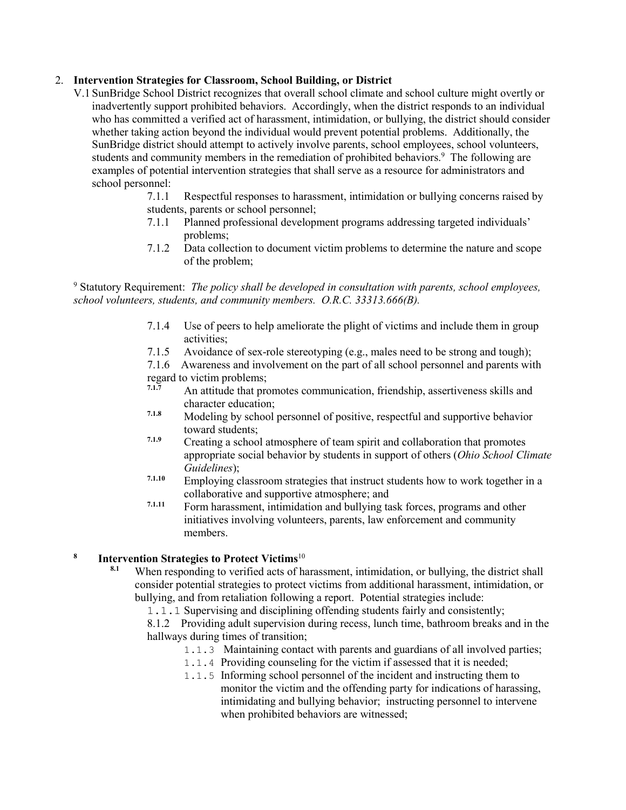## 2. **Intervention Strategies for Classroom, School Building, or District**

- V.1 SunBridge School District recognizes that overall school climate and school culture might overtly or inadvertently support prohibited behaviors. Accordingly, when the district responds to an individual who has committed a verified act of harassment, intimidation, or bullying, the district should consider whether taking action beyond the individual would prevent potential problems. Additionally, the SunBridge district should attempt to actively involve parents, school employees, school volunteers, students and community members in the remediation of prohibited behaviors.<sup>9</sup> The following are examples of potential intervention strategies that shall serve as a resource for administrators and school personnel:
	- 7.1.1 Respectful responses to harassment, intimidation or bullying concerns raised by students, parents or school personnel;
	- 7.1.1 Planned professional development programs addressing targeted individuals' problems;
	- 7.1.2 Data collection to document victim problems to determine the nature and scope of the problem;

<sup>9</sup> Statutory Requirement: *The policy shall be developed in consultation with parents, school employees, school volunteers, students, and community members. O.R.C. 33313.666(B).*

- 7.1.4 Use of peers to help ameliorate the plight of victims and include them in group activities;
- 7.1.5 Avoidance of sex-role stereotyping (e.g., males need to be strong and tough);

7.1.6 Awareness and involvement on the part of all school personnel and parents with regard to victim problems;<br>7.1.7 An attitude that are

- **7.1.7** An attitude that promotes communication, friendship, assertiveness skills and character education;
- **7.1.8** Modeling by school personnel of positive, respectful and supportive behavior toward students;
- **7.1.9** Creating a school atmosphere of team spirit and collaboration that promotes appropriate social behavior by students in support of others (*Ohio School Climate Guidelines*);
- **7.1.10** Employing classroom strategies that instruct students how to work together in a collaborative and supportive atmosphere; and
- **7.1.11** Form harassment, intimidation and bullying task forces, programs and other initiatives involving volunteers, parents, law enforcement and community members.

# **<sup>8</sup> Intervention Strategies to Protect Victims**<sup>10</sup>

- **8.1** When responding to verified acts of harassment, intimidation, or bullying, the district shall consider potential strategies to protect victims from additional harassment, intimidation, or bullying, and from retaliation following a report. Potential strategies include:
	- 1.1.1 Supervising and disciplining offending students fairly and consistently;

8.1.2 Providing adult supervision during recess, lunch time, bathroom breaks and in the hallways during times of transition;

- 1.1.3 Maintaining contact with parents and guardians of all involved parties;
- 1.1.4 Providing counseling for the victim if assessed that it is needed;
- 1.1.5 Informing school personnel of the incident and instructing them to monitor the victim and the offending party for indications of harassing, intimidating and bullying behavior; instructing personnel to intervene when prohibited behaviors are witnessed;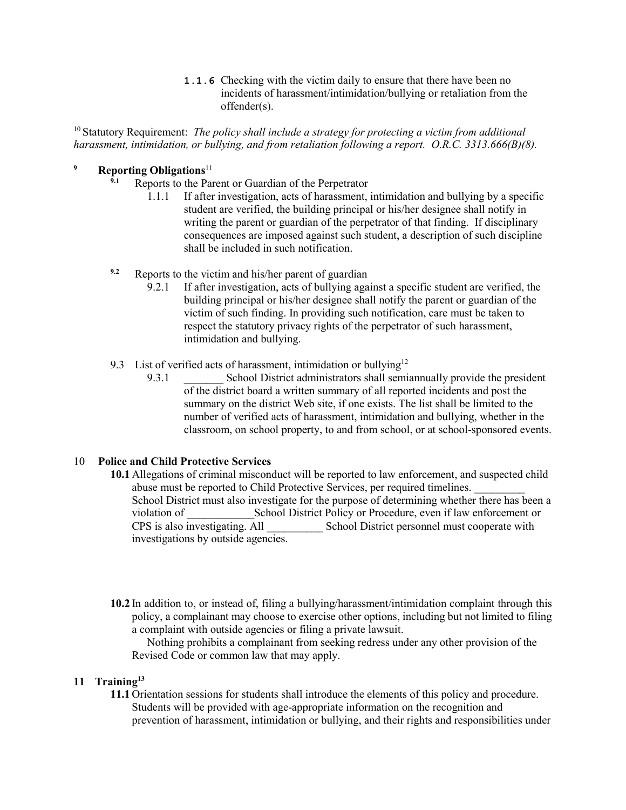**1.1.6** Checking with the victim daily to ensure that there have been no incidents of harassment/intimidation/bullying or retaliation from the offender(s).

<sup>10</sup> Statutory Requirement: *The policy shall include a strategy for protecting a victim from additional harassment, intimidation, or bullying, and from retaliation following a report. O.R.C. 3313.666(B)(8).*

# **<sup>9</sup> Reporting Obligations**<sup>11</sup>

- **9.1** Reports to the Parent or Guardian of the Perpetrator
	- 1.1.1 If after investigation, acts of harassment, intimidation and bullying by a specific student are verified, the building principal or his/her designee shall notify in writing the parent or guardian of the perpetrator of that finding. If disciplinary consequences are imposed against such student, a description of such discipline shall be included in such notification.
- **9.2** Reports to the victim and his/her parent of guardian
	- 9.2.1 If after investigation, acts of bullying against a specific student are verified, the building principal or his/her designee shall notify the parent or guardian of the victim of such finding. In providing such notification, care must be taken to respect the statutory privacy rights of the perpetrator of such harassment, intimidation and bullying.
- 9.3 List of verified acts of harassment, intimidation or bullying<sup>12</sup>
	- 9.3.1 School District administrators shall semiannually provide the president of the district board a written summary of all reported incidents and post the summary on the district Web site, if one exists. The list shall be limited to the number of verified acts of harassment, intimidation and bullying, whether in the classroom, on school property, to and from school, or at school-sponsored events.

#### 10 **Police and Child Protective Services**

- **10.1** Allegations of criminal misconduct will be reported to law enforcement, and suspected child abuse must be reported to Child Protective Services, per required timelines. School District must also investigate for the purpose of determining whether there has been a violation of School District Policy or Procedure, even if law enforcement or CPS is also investigating. All School District personnel must cooperate with School District personnel must cooperate with investigations by outside agencies.
- **10.2** In addition to, or instead of, filing a bullying/harassment/intimidation complaint through this policy, a complainant may choose to exercise other options, including but not limited to filing a complaint with outside agencies or filing a private lawsuit.

Nothing prohibits a complainant from seeking redress under any other provision of the Revised Code or common law that may apply.

## **11 Training13**

**11.1** Orientation sessions for students shall introduce the elements of this policy and procedure. Students will be provided with age-appropriate information on the recognition and prevention of harassment, intimidation or bullying, and their rights and responsibilities under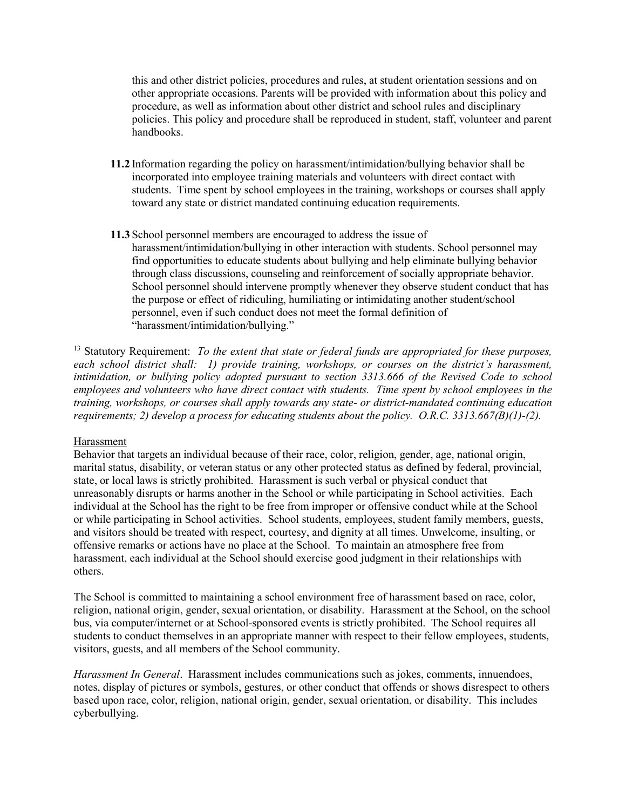this and other district policies, procedures and rules, at student orientation sessions and on other appropriate occasions. Parents will be provided with information about this policy and procedure, as well as information about other district and school rules and disciplinary policies. This policy and procedure shall be reproduced in student, staff, volunteer and parent handbooks.

- **11.2** Information regarding the policy on harassment/intimidation/bullying behavior shall be incorporated into employee training materials and volunteers with direct contact with students. Time spent by school employees in the training, workshops or courses shall apply toward any state or district mandated continuing education requirements.
- **11.3** School personnel members are encouraged to address the issue of harassment/intimidation/bullying in other interaction with students. School personnel may find opportunities to educate students about bullying and help eliminate bullying behavior through class discussions, counseling and reinforcement of socially appropriate behavior. School personnel should intervene promptly whenever they observe student conduct that has the purpose or effect of ridiculing, humiliating or intimidating another student/school personnel, even if such conduct does not meet the formal definition of "harassment/intimidation/bullying."

<sup>13</sup> Statutory Requirement: *To the extent that state or federal funds are appropriated for these purposes, each school district shall: 1) provide training, workshops, or courses on the district's harassment, intimidation, or bullying policy adopted pursuant to section 3313.666 of the Revised Code to school employees and volunteers who have direct contact with students. Time spent by school employees in the training, workshops, or courses shall apply towards any state- or district-mandated continuing education requirements; 2) develop a process for educating students about the policy. O.R.C. 3313.667(B)(1)-(2).*

#### Harassment

Behavior that targets an individual because of their race, color, religion, gender, age, national origin, marital status, disability, or veteran status or any other protected status as defined by federal, provincial, state, or local laws is strictly prohibited. Harassment is such verbal or physical conduct that unreasonably disrupts or harms another in the School or while participating in School activities. Each individual at the School has the right to be free from improper or offensive conduct while at the School or while participating in School activities. School students, employees, student family members, guests, and visitors should be treated with respect, courtesy, and dignity at all times. Unwelcome, insulting, or offensive remarks or actions have no place at the School. To maintain an atmosphere free from harassment, each individual at the School should exercise good judgment in their relationships with others.

The School is committed to maintaining a school environment free of harassment based on race, color, religion, national origin, gender, sexual orientation, or disability. Harassment at the School, on the school bus, via computer/internet or at School-sponsored events is strictly prohibited. The School requires all students to conduct themselves in an appropriate manner with respect to their fellow employees, students, visitors, guests, and all members of the School community.

*Harassment In General*. Harassment includes communications such as jokes, comments, innuendoes, notes, display of pictures or symbols, gestures, or other conduct that offends or shows disrespect to others based upon race, color, religion, national origin, gender, sexual orientation, or disability. This includes cyberbullying.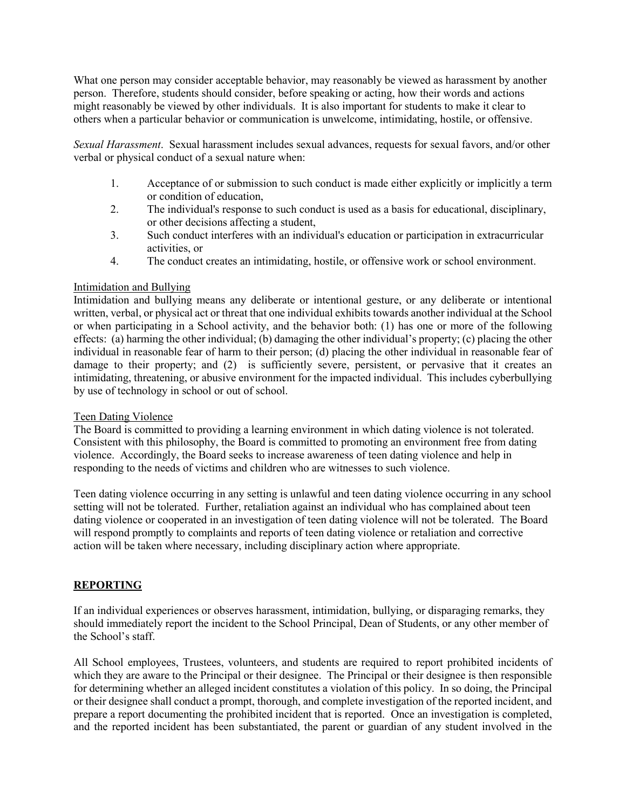What one person may consider acceptable behavior, may reasonably be viewed as harassment by another person. Therefore, students should consider, before speaking or acting, how their words and actions might reasonably be viewed by other individuals. It is also important for students to make it clear to others when a particular behavior or communication is unwelcome, intimidating, hostile, or offensive.

*Sexual Harassment*. Sexual harassment includes sexual advances, requests for sexual favors, and/or other verbal or physical conduct of a sexual nature when:

- 1. Acceptance of or submission to such conduct is made either explicitly or implicitly a term or condition of education,
- 2. The individual's response to such conduct is used as a basis for educational, disciplinary, or other decisions affecting a student,
- 3. Such conduct interferes with an individual's education or participation in extracurricular activities, or
- 4. The conduct creates an intimidating, hostile, or offensive work or school environment.

## Intimidation and Bullying

Intimidation and bullying means any deliberate or intentional gesture, or any deliberate or intentional written, verbal, or physical act or threat that one individual exhibits towards another individual at the School or when participating in a School activity, and the behavior both: (1) has one or more of the following effects: (a) harming the other individual; (b) damaging the other individual's property; (c) placing the other individual in reasonable fear of harm to their person; (d) placing the other individual in reasonable fear of damage to their property; and (2) is sufficiently severe, persistent, or pervasive that it creates an intimidating, threatening, or abusive environment for the impacted individual. This includes cyberbullying by use of technology in school or out of school.

#### Teen Dating Violence

The Board is committed to providing a learning environment in which dating violence is not tolerated. Consistent with this philosophy, the Board is committed to promoting an environment free from dating violence. Accordingly, the Board seeks to increase awareness of teen dating violence and help in responding to the needs of victims and children who are witnesses to such violence.

Teen dating violence occurring in any setting is unlawful and teen dating violence occurring in any school setting will not be tolerated. Further, retaliation against an individual who has complained about teen dating violence or cooperated in an investigation of teen dating violence will not be tolerated. The Board will respond promptly to complaints and reports of teen dating violence or retaliation and corrective action will be taken where necessary, including disciplinary action where appropriate.

# **REPORTING**

If an individual experiences or observes harassment, intimidation, bullying, or disparaging remarks, they should immediately report the incident to the School Principal, Dean of Students, or any other member of the School's staff.

All School employees, Trustees, volunteers, and students are required to report prohibited incidents of which they are aware to the Principal or their designee. The Principal or their designee is then responsible for determining whether an alleged incident constitutes a violation of this policy. In so doing, the Principal or their designee shall conduct a prompt, thorough, and complete investigation of the reported incident, and prepare a report documenting the prohibited incident that is reported. Once an investigation is completed, and the reported incident has been substantiated, the parent or guardian of any student involved in the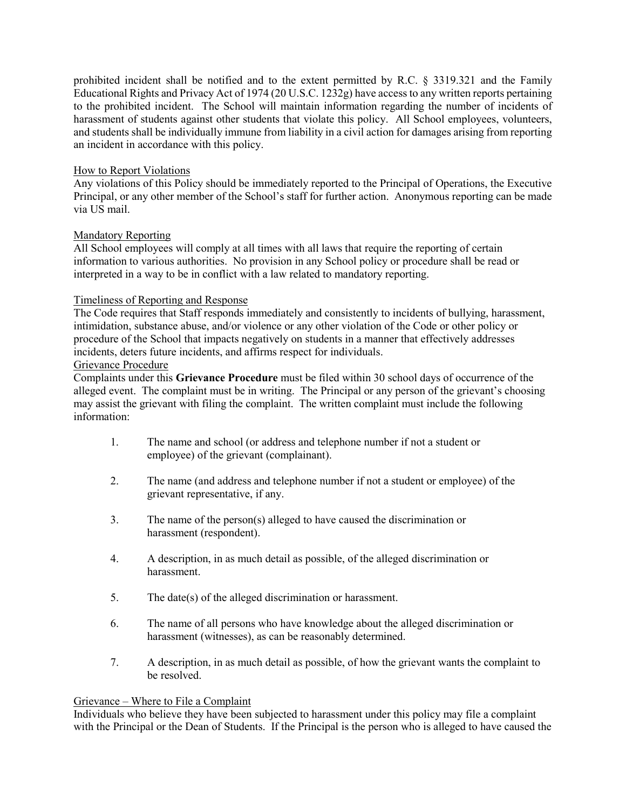prohibited incident shall be notified and to the extent permitted by R.C. § 3319.321 and the Family Educational Rights and Privacy Act of 1974 (20 U.S.C. 1232g) have access to any written reports pertaining to the prohibited incident. The School will maintain information regarding the number of incidents of harassment of students against other students that violate this policy. All School employees, volunteers, and students shall be individually immune from liability in a civil action for damages arising from reporting an incident in accordance with this policy.

## How to Report Violations

Any violations of this Policy should be immediately reported to the Principal of Operations, the Executive Principal, or any other member of the School's staff for further action. Anonymous reporting can be made via US mail.

#### Mandatory Reporting

All School employees will comply at all times with all laws that require the reporting of certain information to various authorities. No provision in any School policy or procedure shall be read or interpreted in a way to be in conflict with a law related to mandatory reporting.

## Timeliness of Reporting and Response

The Code requires that Staff responds immediately and consistently to incidents of bullying, harassment, intimidation, substance abuse, and/or violence or any other violation of the Code or other policy or procedure of the School that impacts negatively on students in a manner that effectively addresses incidents, deters future incidents, and affirms respect for individuals.

#### Grievance Procedure

Complaints under this **Grievance Procedure** must be filed within 30 school days of occurrence of the alleged event. The complaint must be in writing. The Principal or any person of the grievant's choosing may assist the grievant with filing the complaint. The written complaint must include the following information:

- 1. The name and school (or address and telephone number if not a student or employee) of the grievant (complainant).
- 2. The name (and address and telephone number if not a student or employee) of the grievant representative, if any.
- 3. The name of the person(s) alleged to have caused the discrimination or harassment (respondent).
- 4. A description, in as much detail as possible, of the alleged discrimination or harassment.
- 5. The date(s) of the alleged discrimination or harassment.
- 6. The name of all persons who have knowledge about the alleged discrimination or harassment (witnesses), as can be reasonably determined.
- 7. A description, in as much detail as possible, of how the grievant wants the complaint to be resolved.

#### Grievance – Where to File a Complaint

Individuals who believe they have been subjected to harassment under this policy may file a complaint with the Principal or the Dean of Students. If the Principal is the person who is alleged to have caused the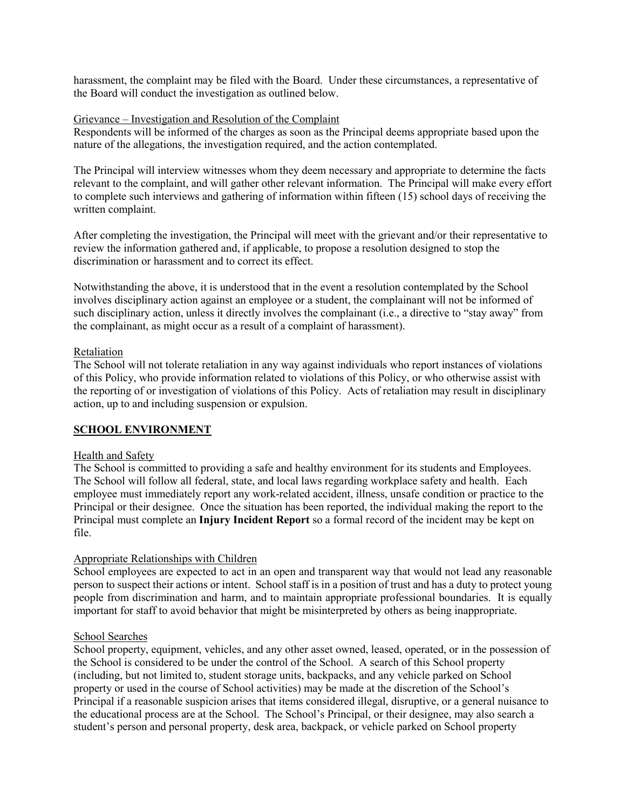harassment, the complaint may be filed with the Board. Under these circumstances, a representative of the Board will conduct the investigation as outlined below.

#### Grievance – Investigation and Resolution of the Complaint

Respondents will be informed of the charges as soon as the Principal deems appropriate based upon the nature of the allegations, the investigation required, and the action contemplated.

The Principal will interview witnesses whom they deem necessary and appropriate to determine the facts relevant to the complaint, and will gather other relevant information. The Principal will make every effort to complete such interviews and gathering of information within fifteen (15) school days of receiving the written complaint.

After completing the investigation, the Principal will meet with the grievant and/or their representative to review the information gathered and, if applicable, to propose a resolution designed to stop the discrimination or harassment and to correct its effect.

Notwithstanding the above, it is understood that in the event a resolution contemplated by the School involves disciplinary action against an employee or a student, the complainant will not be informed of such disciplinary action, unless it directly involves the complainant (i.e., a directive to "stay away" from the complainant, as might occur as a result of a complaint of harassment).

#### Retaliation

The School will not tolerate retaliation in any way against individuals who report instances of violations of this Policy, who provide information related to violations of this Policy, or who otherwise assist with the reporting of or investigation of violations of this Policy. Acts of retaliation may result in disciplinary action, up to and including suspension or expulsion.

#### **SCHOOL ENVIRONMENT**

#### Health and Safety

The School is committed to providing a safe and healthy environment for its students and Employees. The School will follow all federal, state, and local laws regarding workplace safety and health. Each employee must immediately report any work-related accident, illness, unsafe condition or practice to the Principal or their designee. Once the situation has been reported, the individual making the report to the Principal must complete an **Injury Incident Report** so a formal record of the incident may be kept on file.

#### Appropriate Relationships with Children

School employees are expected to act in an open and transparent way that would not lead any reasonable person to suspect their actions or intent. School staff is in a position of trust and has a duty to protect young people from discrimination and harm, and to maintain appropriate professional boundaries. It is equally important for staff to avoid behavior that might be misinterpreted by others as being inappropriate.

#### School Searches

School property, equipment, vehicles, and any other asset owned, leased, operated, or in the possession of the School is considered to be under the control of the School. A search of this School property (including, but not limited to, student storage units, backpacks, and any vehicle parked on School property or used in the course of School activities) may be made at the discretion of the School's Principal if a reasonable suspicion arises that items considered illegal, disruptive, or a general nuisance to the educational process are at the School. The School's Principal, or their designee, may also search a student's person and personal property, desk area, backpack, or vehicle parked on School property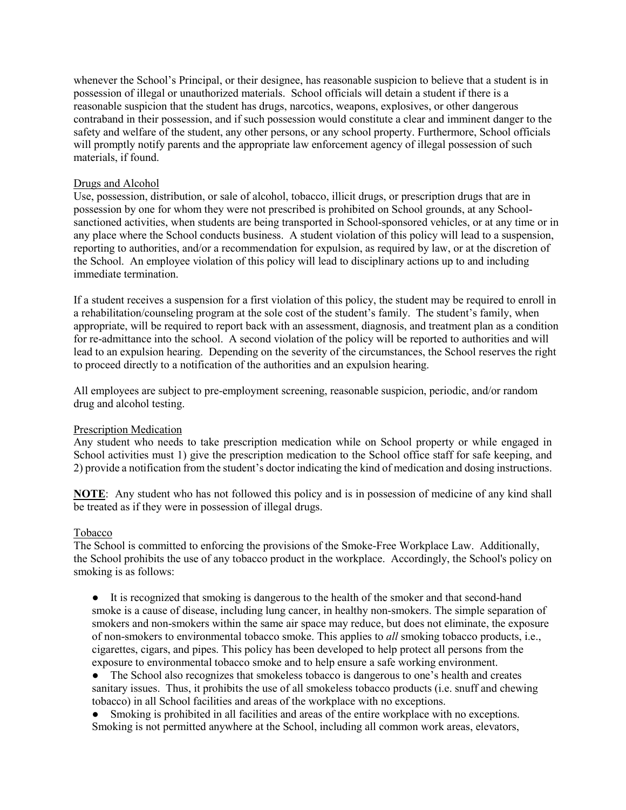whenever the School's Principal, or their designee, has reasonable suspicion to believe that a student is in possession of illegal or unauthorized materials. School officials will detain a student if there is a reasonable suspicion that the student has drugs, narcotics, weapons, explosives, or other dangerous contraband in their possession, and if such possession would constitute a clear and imminent danger to the safety and welfare of the student, any other persons, or any school property. Furthermore, School officials will promptly notify parents and the appropriate law enforcement agency of illegal possession of such materials, if found.

## Drugs and Alcohol

Use, possession, distribution, or sale of alcohol, tobacco, illicit drugs, or prescription drugs that are in possession by one for whom they were not prescribed is prohibited on School grounds, at any Schoolsanctioned activities, when students are being transported in School-sponsored vehicles, or at any time or in any place where the School conducts business. A student violation of this policy will lead to a suspension, reporting to authorities, and/or a recommendation for expulsion, as required by law, or at the discretion of the School. An employee violation of this policy will lead to disciplinary actions up to and including immediate termination.

If a student receives a suspension for a first violation of this policy, the student may be required to enroll in a rehabilitation/counseling program at the sole cost of the student's family. The student's family, when appropriate, will be required to report back with an assessment, diagnosis, and treatment plan as a condition for re-admittance into the school. A second violation of the policy will be reported to authorities and will lead to an expulsion hearing. Depending on the severity of the circumstances, the School reserves the right to proceed directly to a notification of the authorities and an expulsion hearing.

All employees are subject to pre-employment screening, reasonable suspicion, periodic, and/or random drug and alcohol testing.

#### Prescription Medication

Any student who needs to take prescription medication while on School property or while engaged in School activities must 1) give the prescription medication to the School office staff for safe keeping, and 2) provide a notification from the student's doctor indicating the kind of medication and dosing instructions.

**NOTE**: Any student who has not followed this policy and is in possession of medicine of any kind shall be treated as if they were in possession of illegal drugs.

#### Tobacco

The School is committed to enforcing the provisions of the Smoke-Free Workplace Law. Additionally, the School prohibits the use of any tobacco product in the workplace. Accordingly, the School's policy on smoking is as follows:

● It is recognized that smoking is dangerous to the health of the smoker and that second-hand smoke is a cause of disease, including lung cancer, in healthy non-smokers. The simple separation of smokers and non-smokers within the same air space may reduce, but does not eliminate, the exposure of non-smokers to environmental tobacco smoke. This applies to *all* smoking tobacco products, i.e., cigarettes, cigars, and pipes. This policy has been developed to help protect all persons from the exposure to environmental tobacco smoke and to help ensure a safe working environment.

● The School also recognizes that smokeless tobacco is dangerous to one's health and creates sanitary issues. Thus, it prohibits the use of all smokeless tobacco products (i.e. snuff and chewing tobacco) in all School facilities and areas of the workplace with no exceptions.

• Smoking is prohibited in all facilities and areas of the entire workplace with no exceptions. Smoking is not permitted anywhere at the School, including all common work areas, elevators,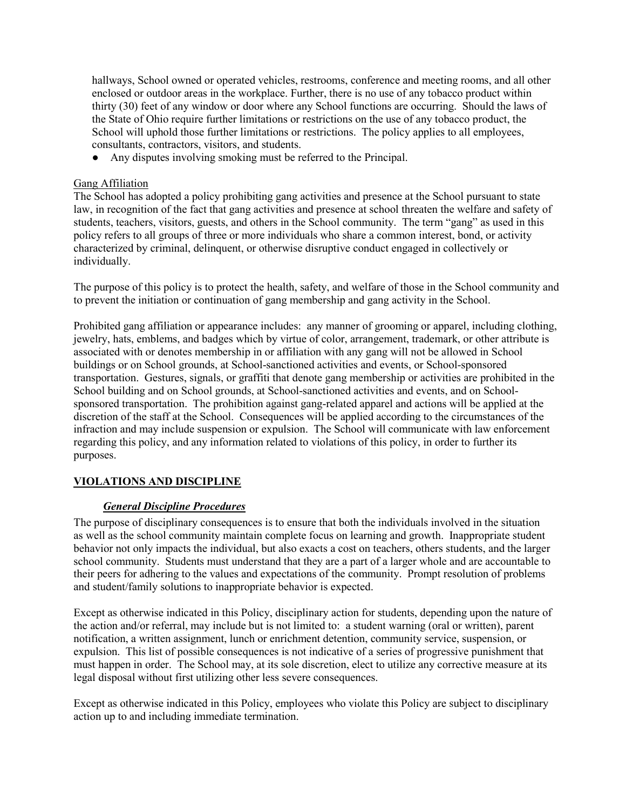hallways, School owned or operated vehicles, restrooms, conference and meeting rooms, and all other enclosed or outdoor areas in the workplace. Further, there is no use of any tobacco product within thirty (30) feet of any window or door where any School functions are occurring. Should the laws of the State of Ohio require further limitations or restrictions on the use of any tobacco product, the School will uphold those further limitations or restrictions. The policy applies to all employees, consultants, contractors, visitors, and students.

● Any disputes involving smoking must be referred to the Principal.

## Gang Affiliation

The School has adopted a policy prohibiting gang activities and presence at the School pursuant to state law, in recognition of the fact that gang activities and presence at school threaten the welfare and safety of students, teachers, visitors, guests, and others in the School community. The term "gang" as used in this policy refers to all groups of three or more individuals who share a common interest, bond, or activity characterized by criminal, delinquent, or otherwise disruptive conduct engaged in collectively or individually.

The purpose of this policy is to protect the health, safety, and welfare of those in the School community and to prevent the initiation or continuation of gang membership and gang activity in the School.

Prohibited gang affiliation or appearance includes: any manner of grooming or apparel, including clothing, jewelry, hats, emblems, and badges which by virtue of color, arrangement, trademark, or other attribute is associated with or denotes membership in or affiliation with any gang will not be allowed in School buildings or on School grounds, at School-sanctioned activities and events, or School-sponsored transportation. Gestures, signals, or graffiti that denote gang membership or activities are prohibited in the School building and on School grounds, at School-sanctioned activities and events, and on Schoolsponsored transportation. The prohibition against gang-related apparel and actions will be applied at the discretion of the staff at the School. Consequences will be applied according to the circumstances of the infraction and may include suspension or expulsion. The School will communicate with law enforcement regarding this policy, and any information related to violations of this policy, in order to further its purposes.

# **VIOLATIONS AND DISCIPLINE**

#### *General Discipline Procedures*

The purpose of disciplinary consequences is to ensure that both the individuals involved in the situation as well as the school community maintain complete focus on learning and growth. Inappropriate student behavior not only impacts the individual, but also exacts a cost on teachers, others students, and the larger school community. Students must understand that they are a part of a larger whole and are accountable to their peers for adhering to the values and expectations of the community. Prompt resolution of problems and student/family solutions to inappropriate behavior is expected.

Except as otherwise indicated in this Policy, disciplinary action for students, depending upon the nature of the action and/or referral, may include but is not limited to: a student warning (oral or written), parent notification, a written assignment, lunch or enrichment detention, community service, suspension, or expulsion. This list of possible consequences is not indicative of a series of progressive punishment that must happen in order. The School may, at its sole discretion, elect to utilize any corrective measure at its legal disposal without first utilizing other less severe consequences.

Except as otherwise indicated in this Policy, employees who violate this Policy are subject to disciplinary action up to and including immediate termination.